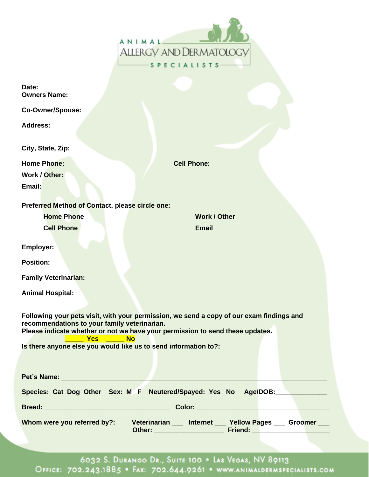| ANIMAL                         |  |
|--------------------------------|--|
| <b>ALLERGY AND DERMATOLOGY</b> |  |
| <b>SPECIALISTS</b>             |  |

| Date:<br><b>Owners Name:</b>                                                                                                                                                                                                                         |                                                                  |  |
|------------------------------------------------------------------------------------------------------------------------------------------------------------------------------------------------------------------------------------------------------|------------------------------------------------------------------|--|
| <b>Co-Owner/Spouse:</b>                                                                                                                                                                                                                              |                                                                  |  |
| <b>Address:</b>                                                                                                                                                                                                                                      |                                                                  |  |
| City, State, Zip:                                                                                                                                                                                                                                    |                                                                  |  |
| <b>Home Phone:</b>                                                                                                                                                                                                                                   | <b>Cell Phone:</b>                                               |  |
| Work / Other:                                                                                                                                                                                                                                        |                                                                  |  |
| Email:                                                                                                                                                                                                                                               |                                                                  |  |
| Preferred Method of Contact, please circle one:                                                                                                                                                                                                      |                                                                  |  |
| <b>Home Phone</b>                                                                                                                                                                                                                                    | <b>Work / Other</b>                                              |  |
| <b>Cell Phone</b>                                                                                                                                                                                                                                    | <b>Email</b>                                                     |  |
| <b>Employer:</b>                                                                                                                                                                                                                                     |                                                                  |  |
| <b>Position:</b>                                                                                                                                                                                                                                     |                                                                  |  |
| <b>Family Veterinarian:</b>                                                                                                                                                                                                                          |                                                                  |  |
| <b>Animal Hospital:</b>                                                                                                                                                                                                                              |                                                                  |  |
| Following your pets visit, with your permission, we send a copy of our exam findings and<br>recommendations to your family veterinarian.<br>Please indicate whether or not we have your permission to send these updates.<br><b>Yes</b><br><b>No</b> |                                                                  |  |
| Is there anyone else you would like us to send information to?:                                                                                                                                                                                      |                                                                  |  |
| Pet's Name: _________________                                                                                                                                                                                                                        |                                                                  |  |
|                                                                                                                                                                                                                                                      | Species: Cat Dog Other Sex: M F Neutered/Spayed: Yes No Age/DOB: |  |
|                                                                                                                                                                                                                                                      |                                                                  |  |
| Whom were you referred by?:                                                                                                                                                                                                                          | Veterinarian __ Internet __ Yellow Pages __ Groomer __           |  |

6032 S. DURANGO DR., SUITE 100 . LAS VEGAS, NV 89113<br>Office: 702.243.1885 . Fax: 702.644.9261 . www.animaldermspecialists.com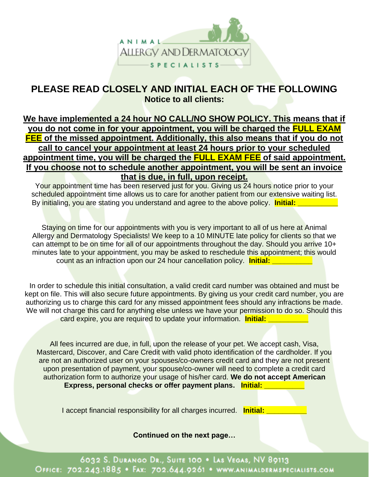

## **PLEASE READ CLOSELY AND INITIAL EACH OF THE FOLLOWING Notice to all clients:**

## **We have implemented a 24 hour NO CALL/NO SHOW POLICY. This means that if you do not come in for your appointment, you will be charged the FULL EXAM FEE of the missed appointment. Additionally, this also means that if you do not call to cancel your appointment at least 24 hours prior to your scheduled appointment time, you will be charged the FULL EXAM FEE of said appointment. If you choose not to schedule another appointment, you will be sent an invoice that is due, in full, upon receipt.**

Your appointment time has been reserved just for you. Giving us 24 hours notice prior to your scheduled appointment time allows us to care for another patient from our extensive waiting list. By initialing, you are stating you understand and agree to the above policy. **Initial: Example 20** 

Staying on time for our appointments with you is very important to all of us here at Animal Allergy and Dermatology Specialists! We keep to a 10 MINUTE late policy for clients so that we can attempt to be on time for all of our appointments throughout the day. Should you arrive 10+ minutes late to your appointment, you may be asked to reschedule this appointment; this would count as an infraction upon our 24 hour cancellation policy. **Initial:** 

In order to schedule this initial consultation, a valid credit card number was obtained and must be kept on file. This will also secure future appointments. By giving us your credit card number, you are authorizing us to charge this card for any missed appointment fees should any infractions be made. We will not charge this card for anything else unless we have your permission to do so. Should this card expire, you are required to update your information. **Initial:** 

All fees incurred are due, in full, upon the release of your pet. We accept cash, Visa, Mastercard, Discover, and Care Credit with valid photo identification of the cardholder. If you are not an authorized user on your spouses/co-owners credit card and they are not present upon presentation of payment, your spouse/co-owner will need to complete a credit card authorization form to authorize your usage of his/her card. **We do not accept American Express, personal checks or offer payment plans. Initial:** 

I accept financial responsibility for all charges incurred. **Initial:** *\_\_\_\_\_\_\_\_* 

**Continued on the next page…**

6032 S. DURANGO DR., SUITE 100 . LAS VEGAS, NV 89113 OFFICE: 702.243.1885 · FAX: 702.644.9261 · WWW.ANIMALDERMSPECIALISTS.COM